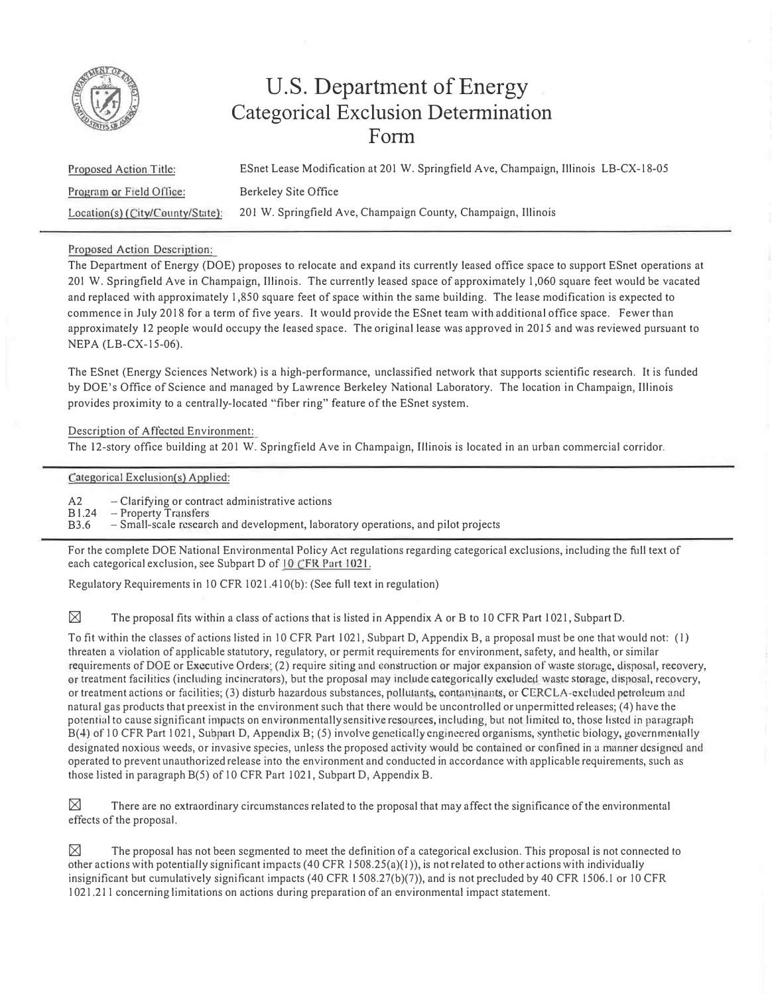

## **U.S. Department of Energy Categorical Exclusion Determination Form**

Proposed Action Title: Program or Field Office; Location(s) (City/County/State): ESnet Lease Modification at 201 W. Springfield Ave, Champaign, Illinois LB-CX-18-05 Berkeley Site Office 201 W. Springfield Ave, Champaign County, Champaign, Illinois

## Proposed Action Description:

The Department of Energy (DOE) proposes to relocate and expand its currently leased office space to support ESnet operations at 20 I W. Springfield Ave in Champaign, Illinois. The currently leased space of approximately 1,060 square feet would be vacated and replaced with approximately 1,850 square feet of space within the same building. The lease modification is expected to commence in July 2018 for a term of five years. It would provide the ESnet team with additional office space. Fewer than approximately 12 people would occupy the leased space. The original lease was approved in 2015 and was reviewed pursuant to NEPA (LB-CX-15-06).

The ESnet (Energy Sciences Network) is a high-performance, unclassified network that supports scientific research. It is funded by DOE's Office of Science and managed by Lawrence Berkeley National Laboratory. The location in Champaign, Illinois provides proximity to a centrally-located "fiber ring" feature of the ESnet system.

Description of Affected Environment:

The 12-story office building at 201 W. Springfield Ave in Champaign, Illinois is located in an urban commercial corridor.

Categorical Exclusion(s) Applied:

A2 - Clarifying or contract administrative actions

B l.24 - Property Transfers

B3.6 - Small-scale research and development, laboratory operations, and pilot projects

For the complete DOE National Environmental Policy Act regulations regarding categorical exclusions, including the full text of each categorical exclusion, see Subpart D of 10 CFR Part 1021.

Regulatory Requirements in IO CFR 1021.41 O(b): (See full text in regulation)

 $\boxtimes$  The proposal fits within a class of actions that is listed in Appendix A or B to 10 CFR Part 1021, Subpart D.

To fit within the classes of actions listed in 10 CFR Part 1021, Subpart D, Appendix B, a proposal must be one that would not: (1) threaten a violation of applicable statutory, regulatory, or permit requirements for environment, safety, and health, or similar requirements of DOE or Executive Orders; (2) require siting and construction or major expansion of waste storage, disposal, recovery, or treatment facilities (including incinerators), but the proposal may include categorically excluded waste storage, disposal, recovery, or treatment actions or facilities; (3) disturb hazardous substances, pollutants, contaminants, or CERCLA-excluded petroleum and natural gas products that preexist in the environment such that there would be uncontrolled or unpermitted releases; (4) have the potential to cause significant impacts on environmentally sensitive resources, including, but not limited to, those listed in paragraph B(4) of 10 CFR Part 1021, Subpart D, Appendix B; (5) involve genetically engineered organisms, synthetic biology, governmentally designated noxious weeds, or invasive species, unless the proposed activity would be contained or confined in a manner designed and operated to prevent unauthorized release into the environment and conducted in accordance with applicable requirements, such as those listed in paragraph B(5) of IO CFR Part I 021, Subpart D, Appendix B.

 $\boxtimes$  There are no extraordinary circumstances related to the proposal that may affect the significance of the environmental effects of the proposal.

 $\boxtimes$  The proposal has not been segmented to meet the definition of a categorical exclusion. This proposal is not connected to other actions with potentially significant impacts  $(40 \text{ CFR } 1508.25(a)(1))$ , is not related to other actions with individually insignificant but cumulatively significant impacts ( 40 CFR l 508.27(b)(7)), and is not precluded by 40 CFR 1506.1 or IO CFR I 021.211 concerning limitations on actions during preparation of an environmental impact statement.